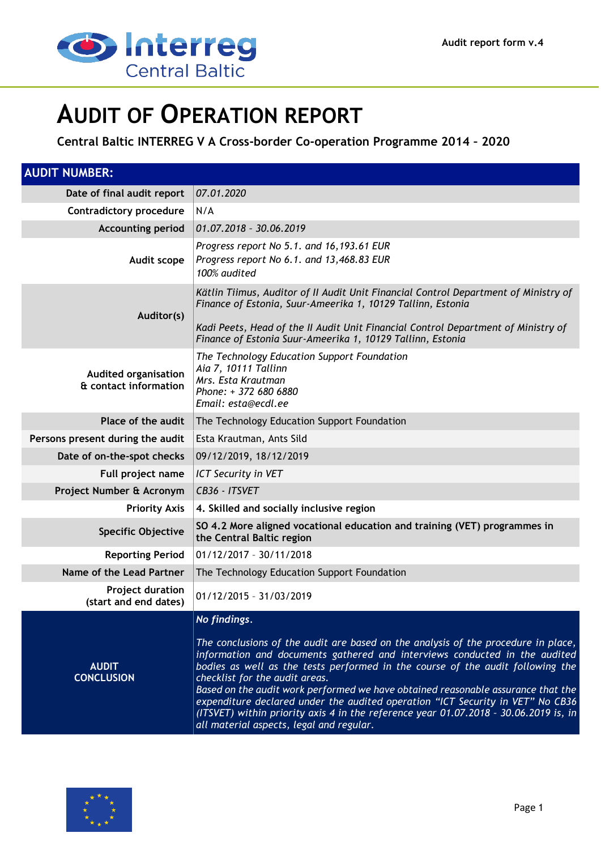

# **AUDIT OF OPERATION REPORT**

**Central Baltic INTERREG V A Cross-border Co-operation Programme 2014 – 2020**

| <b>AUDIT NUMBER:</b>                                 |                                                                                                                                                                                                                                                                                                                                                                                                                                                                                                                                                                                                                   |  |  |
|------------------------------------------------------|-------------------------------------------------------------------------------------------------------------------------------------------------------------------------------------------------------------------------------------------------------------------------------------------------------------------------------------------------------------------------------------------------------------------------------------------------------------------------------------------------------------------------------------------------------------------------------------------------------------------|--|--|
| Date of final audit report                           | 07.01.2020                                                                                                                                                                                                                                                                                                                                                                                                                                                                                                                                                                                                        |  |  |
| <b>Contradictory procedure</b>                       | N/A                                                                                                                                                                                                                                                                                                                                                                                                                                                                                                                                                                                                               |  |  |
| <b>Accounting period</b>                             | 01.07.2018 - 30.06.2019                                                                                                                                                                                                                                                                                                                                                                                                                                                                                                                                                                                           |  |  |
| Audit scope                                          | Progress report No 5.1. and 16,193.61 EUR<br>Progress report No 6.1. and 13,468.83 EUR<br>100% audited                                                                                                                                                                                                                                                                                                                                                                                                                                                                                                            |  |  |
| Auditor(s)                                           | Kätlin Tiimus, Auditor of II Audit Unit Financial Control Department of Ministry of<br>Finance of Estonia, Suur-Ameerika 1, 10129 Tallinn, Estonia<br>Kadi Peets, Head of the II Audit Unit Financial Control Department of Ministry of<br>Finance of Estonia Suur-Ameerika 1, 10129 Tallinn, Estonia                                                                                                                                                                                                                                                                                                             |  |  |
| <b>Audited organisation</b><br>& contact information | The Technology Education Support Foundation<br>Aia 7, 10111 Tallinn<br>Mrs. Esta Krautman<br>Phone: + 372 680 6880<br>Email: esta@ecdl.ee                                                                                                                                                                                                                                                                                                                                                                                                                                                                         |  |  |
| Place of the audit                                   | The Technology Education Support Foundation                                                                                                                                                                                                                                                                                                                                                                                                                                                                                                                                                                       |  |  |
| Persons present during the audit                     | Esta Krautman, Ants Sild                                                                                                                                                                                                                                                                                                                                                                                                                                                                                                                                                                                          |  |  |
| Date of on-the-spot checks                           | 09/12/2019, 18/12/2019                                                                                                                                                                                                                                                                                                                                                                                                                                                                                                                                                                                            |  |  |
| Full project name                                    | <b>ICT Security in VET</b>                                                                                                                                                                                                                                                                                                                                                                                                                                                                                                                                                                                        |  |  |
| Project Number & Acronym                             | CB36 - ITSVET                                                                                                                                                                                                                                                                                                                                                                                                                                                                                                                                                                                                     |  |  |
| <b>Priority Axis</b>                                 | 4. Skilled and socially inclusive region                                                                                                                                                                                                                                                                                                                                                                                                                                                                                                                                                                          |  |  |
| <b>Specific Objective</b>                            | SO 4.2 More aligned vocational education and training (VET) programmes in<br>the Central Baltic region                                                                                                                                                                                                                                                                                                                                                                                                                                                                                                            |  |  |
| <b>Reporting Period</b>                              | 01/12/2017 - 30/11/2018                                                                                                                                                                                                                                                                                                                                                                                                                                                                                                                                                                                           |  |  |
| Name of the Lead Partner                             | The Technology Education Support Foundation                                                                                                                                                                                                                                                                                                                                                                                                                                                                                                                                                                       |  |  |
| <b>Project duration</b><br>(start and end dates)     | 01/12/2015 - 31/03/2019                                                                                                                                                                                                                                                                                                                                                                                                                                                                                                                                                                                           |  |  |
| <b>AUDIT</b><br><b>CONCLUSION</b>                    | $ $ No findings.<br>The conclusions of the audit are based on the analysis of the procedure in place,<br>information and documents gathered and interviews conducted in the audited<br>bodies as well as the tests performed in the course of the audit following the<br>checklist for the audit areas.<br>Based on the audit work performed we have obtained reasonable assurance that the<br>expenditure declared under the audited operation "ICT Security in VET" No CB36<br>(ITSVET) within priority axis 4 in the reference year 01.07.2018 - 30.06.2019 is, in<br>all material aspects, legal and regular. |  |  |

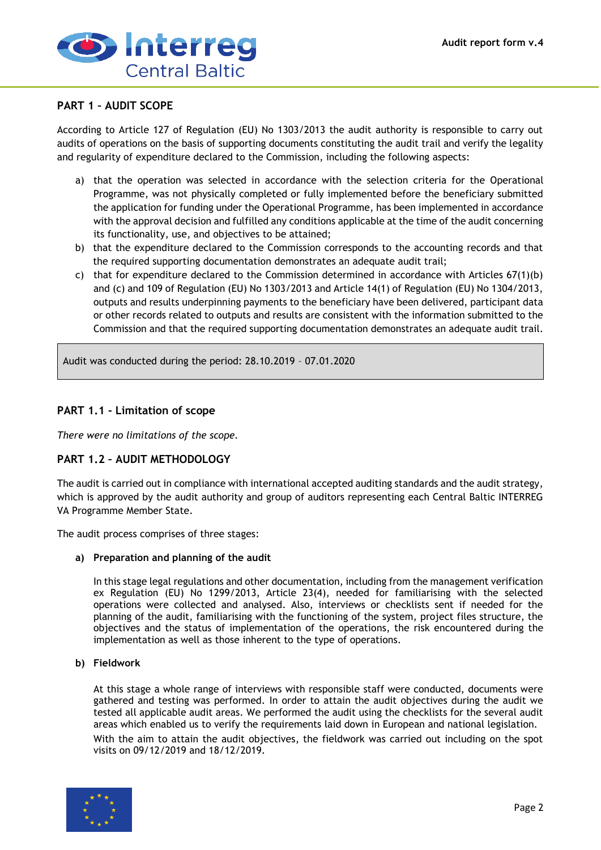

# **PART 1 – AUDIT SCOPE**

According to Article 127 of Regulation (EU) No 1303/2013 the audit authority is responsible to carry out audits of operations on the basis of supporting documents constituting the audit trail and verify the legality and regularity of expenditure declared to the Commission, including the following aspects:

- a) that the operation was selected in accordance with the selection criteria for the Operational Programme, was not physically completed or fully implemented before the beneficiary submitted the application for funding under the Operational Programme, has been implemented in accordance with the approval decision and fulfilled any conditions applicable at the time of the audit concerning its functionality, use, and objectives to be attained;
- b) that the expenditure declared to the Commission corresponds to the accounting records and that the required supporting documentation demonstrates an adequate audit trail;
- c) that for expenditure declared to the Commission determined in accordance with Articles 67(1)(b) and (c) and 109 of Regulation (EU) No 1303/2013 and Article 14(1) of Regulation (EU) No 1304/2013, outputs and results underpinning payments to the beneficiary have been delivered, participant data or other records related to outputs and results are consistent with the information submitted to the Commission and that the required supporting documentation demonstrates an adequate audit trail.

Audit was conducted during the period: 28.10.2019 – 07.01.2020

# **PART 1.1 - Limitation of scope**

*There were no limitations of the scope.*

# **PART 1.2 – AUDIT METHODOLOGY**

The audit is carried out in compliance with international accepted auditing standards and the audit strategy, which is approved by the audit authority and group of auditors representing each Central Baltic INTERREG VA Programme Member State.

The audit process comprises of three stages:

## **a) Preparation and planning of the audit**

In this stage legal regulations and other documentation, including from the management verification ex Regulation (EU) No 1299/2013, Article 23(4), needed for familiarising with the selected operations were collected and analysed. Also, interviews or checklists sent if needed for the planning of the audit, familiarising with the functioning of the system, project files structure, the objectives and the status of implementation of the operations, the risk encountered during the implementation as well as those inherent to the type of operations.

## **b) Fieldwork**

At this stage a whole range of interviews with responsible staff were conducted, documents were gathered and testing was performed. In order to attain the audit objectives during the audit we tested all applicable audit areas. We performed the audit using the checklists for the several audit areas which enabled us to verify the requirements laid down in European and national legislation.

With the aim to attain the audit objectives, the fieldwork was carried out including on the spot visits on 09/12/2019 and 18/12/2019.

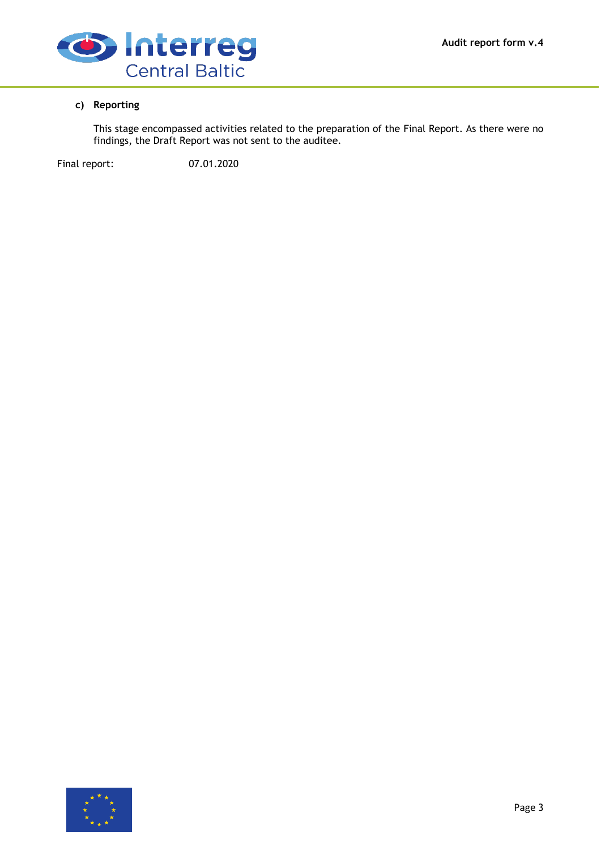

# **c) Reporting**

This stage encompassed activities related to the preparation of the Final Report. As there were no findings, the Draft Report was not sent to the auditee.

Final report: 07.01.2020

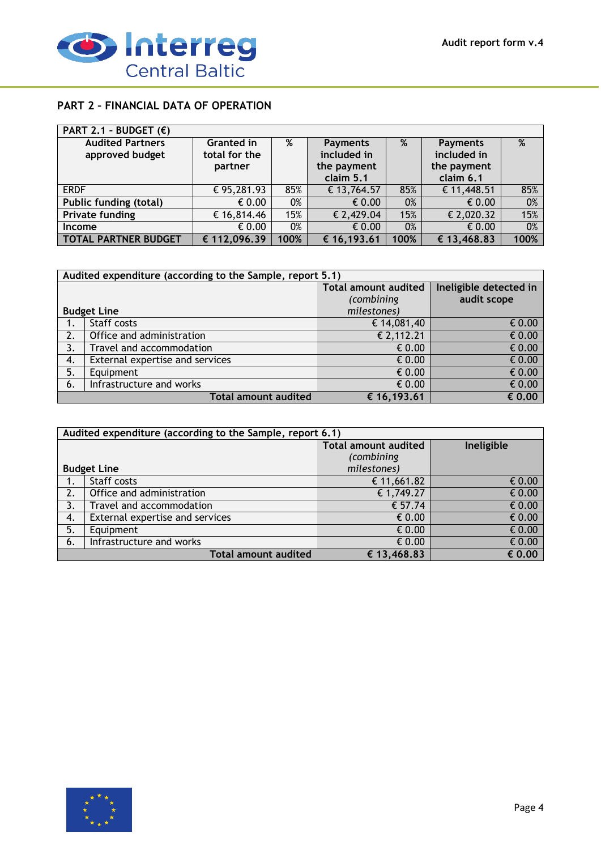

# **PART 2 – FINANCIAL DATA OF OPERATION**

| PART 2.1 - BUDGET $(E)$                    |                             |      |                                |      |                                |      |
|--------------------------------------------|-----------------------------|------|--------------------------------|------|--------------------------------|------|
| <b>Audited Partners</b><br>approved budget | Granted in<br>total for the | %    | <b>Payments</b><br>included in | %    | <b>Payments</b><br>included in | %    |
|                                            | partner                     |      | the payment<br>claim 5.1       |      | the payment<br>claim 6.1       |      |
| <b>ERDF</b>                                | € 95,281.93                 | 85%  | € 13,764.57                    | 85%  | € 11,448.51                    | 85%  |
| <b>Public funding (total)</b>              | € 0.00                      | 0%   | $\epsilon$ 0.00                | 0%   | € 0.00                         | 0%   |
| <b>Private funding</b>                     | € 16,814.46                 | 15%  | € 2,429.04                     | 15%  | € 2,020.32                     | 15%  |
| <b>Income</b>                              | $\epsilon$ 0.00             | 0%   | $\epsilon$ 0.00                | 0%   | € 0.00                         | 0%   |
| <b>TOTAL PARTNER BUDGET</b>                | € 112,096.39                | 100% | € 16,193.61                    | 100% | € 13,468.83                    | 100% |

| Audited expenditure (according to the Sample, report 5.1) |                                 |                             |                        |
|-----------------------------------------------------------|---------------------------------|-----------------------------|------------------------|
|                                                           |                                 | <b>Total amount audited</b> | Ineligible detected in |
|                                                           |                                 | (combining                  | audit scope            |
|                                                           | <b>Budget Line</b>              | milestones)                 |                        |
|                                                           | Staff costs                     | € 14,081,40                 | $\epsilon$ 0.00        |
| 2.                                                        | Office and administration       | $E$ 2,112.21                | $\epsilon$ 0.00        |
| 3.                                                        | Travel and accommodation        | € 0.00                      | $\epsilon$ 0.00        |
| 4.                                                        | External expertise and services | € 0.00                      | € 0.00                 |
| 5.                                                        | Equipment                       | € 0.00                      | $\epsilon$ 0.00        |
| 6.                                                        | Infrastructure and works        | € 0.00                      | $\epsilon$ 0.00        |
| <b>Total amount audited</b><br>€ 0.00<br>€ 16,193.61      |                                 |                             |                        |

| Audited expenditure (according to the Sample, report 6.1) |                                                      |                             |                 |  |
|-----------------------------------------------------------|------------------------------------------------------|-----------------------------|-----------------|--|
|                                                           |                                                      | <b>Total amount audited</b> | Ineligible      |  |
|                                                           |                                                      | (combining                  |                 |  |
|                                                           | <b>Budget Line</b>                                   | milestones)                 |                 |  |
| 1.                                                        | Staff costs                                          | € 11,661.82                 | € 0.00          |  |
| 2.                                                        | Office and administration                            | € 1,749.27                  | $\epsilon$ 0.00 |  |
| 3.                                                        | Travel and accommodation                             | € 57.74                     | $\epsilon$ 0.00 |  |
| 4.                                                        | External expertise and services                      | $\epsilon$ 0.00             | $\epsilon$ 0.00 |  |
| 5.                                                        | Equipment                                            | $\epsilon$ 0.00             | $\epsilon$ 0.00 |  |
| 6.                                                        | Infrastructure and works                             | $\epsilon$ 0.00             | $\epsilon$ 0.00 |  |
|                                                           | <b>Total amount audited</b><br>€ 13,468.83<br>€ 0.00 |                             |                 |  |

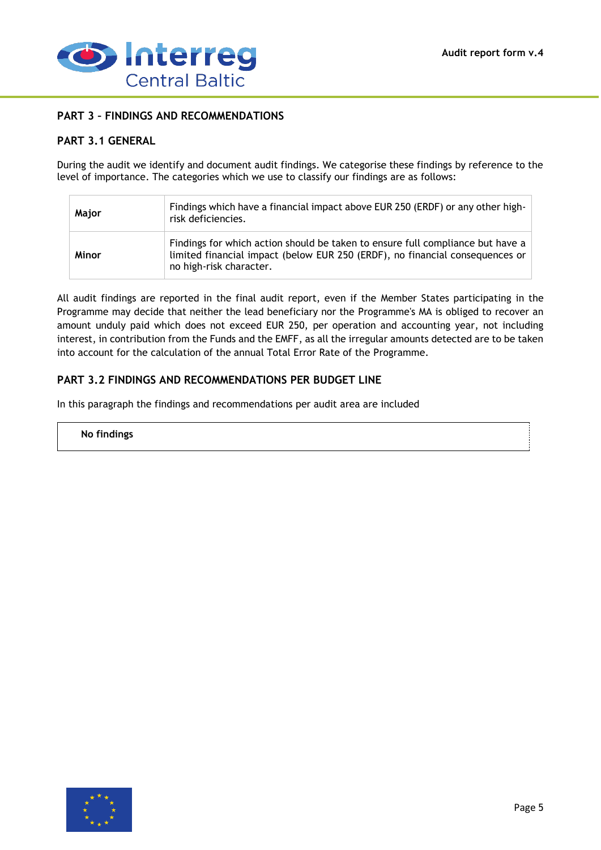

# **PART 3 – FINDINGS AND RECOMMENDATIONS**

# **PART 3.1 GENERAL**

During the audit we identify and document audit findings. We categorise these findings by reference to the level of importance. The categories which we use to classify our findings are as follows:

| Major | Findings which have a financial impact above EUR 250 (ERDF) or any other high-<br>risk deficiencies.                                                                                      |
|-------|-------------------------------------------------------------------------------------------------------------------------------------------------------------------------------------------|
| Minor | Findings for which action should be taken to ensure full compliance but have a<br>limited financial impact (below EUR 250 (ERDF), no financial consequences or<br>no high-risk character. |

All audit findings are reported in the final audit report, even if the Member States participating in the Programme may decide that neither the lead beneficiary nor the Programme's MA is obliged to recover an amount unduly paid which does not exceed EUR 250, per operation and accounting year, not including interest, in contribution from the Funds and the EMFF, as all the irregular amounts detected are to be taken into account for the calculation of the annual Total Error Rate of the Programme.

# **PART 3.2 FINDINGS AND RECOMMENDATIONS PER BUDGET LINE**

In this paragraph the findings and recommendations per audit area are included

#### **No findings**